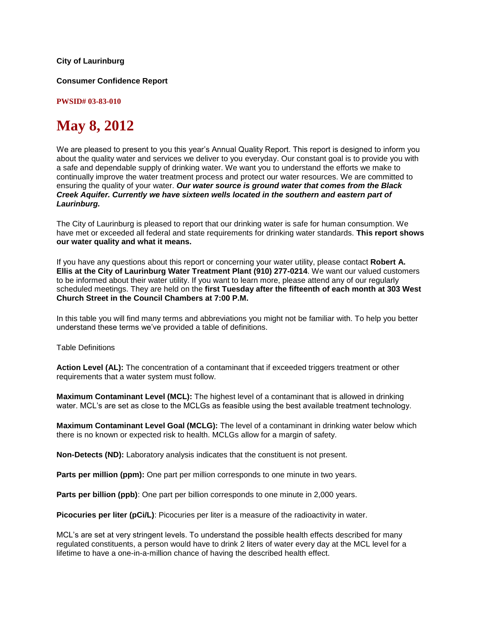### **City of Laurinburg**

**Consumer Confidence Report**

**PWSID# 03-83-010**

# **May 8, 2012**

We are pleased to present to you this year's Annual Quality Report. This report is designed to inform you about the quality water and services we deliver to you everyday. Our constant goal is to provide you with a safe and dependable supply of drinking water. We want you to understand the efforts we make to continually improve the water treatment process and protect our water resources. We are committed to ensuring the quality of your water. *Our water source is ground water that comes from the Black Creek Aquifer. Currently we have sixteen wells located in the southern and eastern part of Laurinburg.* 

The City of Laurinburg is pleased to report that our drinking water is safe for human consumption. We have met or exceeded all federal and state requirements for drinking water standards. **This report shows our water quality and what it means.**

If you have any questions about this report or concerning your water utility, please contact **Robert A. Ellis at the City of Laurinburg Water Treatment Plant (910) 277-0214**. We want our valued customers to be informed about their water utility. If you want to learn more, please attend any of our regularly scheduled meetings. They are held on the **first Tuesday after the fifteenth of each month at 303 West Church Street in the Council Chambers at 7:00 P.M.**

In this table you will find many terms and abbreviations you might not be familiar with. To help you better understand these terms we've provided a table of definitions.

Table Definitions

**Action Level (AL):** The concentration of a contaminant that if exceeded triggers treatment or other requirements that a water system must follow.

**Maximum Contaminant Level (MCL):** The highest level of a contaminant that is allowed in drinking water. MCL's are set as close to the MCLGs as feasible using the best available treatment technology.

**Maximum Contaminant Level Goal (MCLG):** The level of a contaminant in drinking water below which there is no known or expected risk to health. MCLGs allow for a margin of safety.

**Non-Detects (ND):** Laboratory analysis indicates that the constituent is not present.

**Parts per million (ppm):** One part per million corresponds to one minute in two years.

**Parts per billion (ppb)**: One part per billion corresponds to one minute in 2,000 years.

**Picocuries per liter (pCi/L)**: Picocuries per liter is a measure of the radioactivity in water.

MCL's are set at very stringent levels. To understand the possible health effects described for many regulated constituents, a person would have to drink 2 liters of water every day at the MCL level for a lifetime to have a one-in-a-million chance of having the described health effect.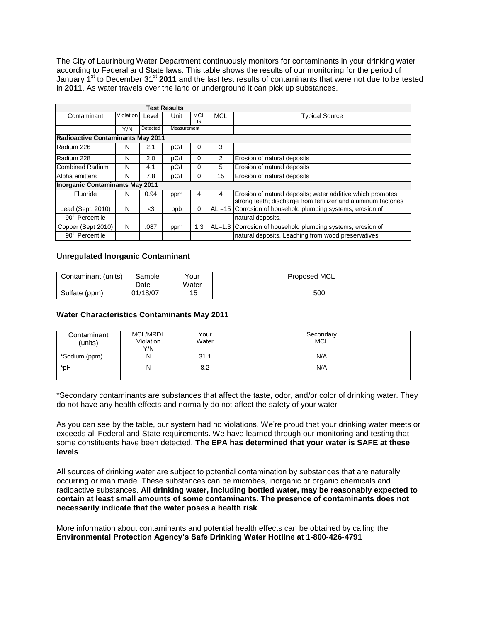The City of Laurinburg Water Department continuously monitors for contaminants in your drinking water according to Federal and State laws. This table shows the results of our monitoring for the period of January 1st to December 31st **2011** and the last test results of contaminants that were not due to be tested in **2011**. As water travels over the land or underground it can pick up substances.

|                                          |           |          | <b>Test Results</b> |          |           |                                                                                                                              |  |
|------------------------------------------|-----------|----------|---------------------|----------|-----------|------------------------------------------------------------------------------------------------------------------------------|--|
| Contaminant                              | Violation | Level    | Unit                | MCL      | MCL       | <b>Typical Source</b>                                                                                                        |  |
|                                          |           |          |                     | G        |           |                                                                                                                              |  |
|                                          | Y/N       | Detected | Measurement         |          |           |                                                                                                                              |  |
| <b>Radioactive Contaminants May 2011</b> |           |          |                     |          |           |                                                                                                                              |  |
| Radium 226                               | N         | 2.1      | pC/I                | 0        | 3         |                                                                                                                              |  |
| Radium 228                               | N         | 2.0      | pC/I                | $\Omega$ | 2         | Erosion of natural deposits                                                                                                  |  |
| Combined Radium                          | N         | 4.1      | pC/I                | 0        | 5         | Erosion of natural deposits                                                                                                  |  |
| Alpha emitters                           | N         | 7.8      | pC/I                | $\Omega$ | 15        | Erosion of natural deposits                                                                                                  |  |
| <b>Inorganic Contaminants May 2011</b>   |           |          |                     |          |           |                                                                                                                              |  |
| Fluoride                                 | N         | 0.94     | ppm                 | 4        | 4         | Erosion of natural deposits; water additive which promotes<br>strong teeth; discharge from fertilizer and aluminum factories |  |
| Lead (Sept. 2010)                        | N         | $3$      | ppb                 | 0        | $AL = 15$ | Corrosion of household plumbing systems, erosion of                                                                          |  |
| $90th$ Percentile                        |           |          |                     |          |           | natural deposits.                                                                                                            |  |
| Copper (Sept 2010)                       | N         | .087     | ppm                 | 1.3      |           | AL=1.3 Corrosion of household plumbing systems, erosion of                                                                   |  |
| $90th$ Percentile                        |           |          |                     |          |           | natural deposits. Leaching from wood preservatives                                                                           |  |

### **Unregulated Inorganic Contaminant**

| Contaminant (units) | Sample   | Your  | Proposed MCL |
|---------------------|----------|-------|--------------|
|                     | Date     | Water |              |
| Sulfate (ppm)       | 01/18/07 | 15    | 500          |

## **Water Characteristics Contaminants May 2011**

| Contaminant<br>(units) | <b>MCL/MRDL</b><br>Violation<br>Y/N | Your<br>Water | Secondary<br><b>MCL</b> |
|------------------------|-------------------------------------|---------------|-------------------------|
| *Sodium (ppm)          | N                                   | 31.1          | N/A                     |
| *pH                    | N                                   | 8.2           | N/A                     |

\*Secondary contaminants are substances that affect the taste, odor, and/or color of drinking water. They do not have any health effects and normally do not affect the safety of your water

As you can see by the table, our system had no violations. We're proud that your drinking water meets or exceeds all Federal and State requirements. We have learned through our monitoring and testing that some constituents have been detected. **The EPA has determined that your water is SAFE at these levels**.

All sources of drinking water are subject to potential contamination by substances that are naturally occurring or man made. These substances can be microbes, inorganic or organic chemicals and radioactive substances. **All drinking water, including bottled water, may be reasonably expected to contain at least small amounts of some contaminants. The presence of contaminants does not necessarily indicate that the water poses a health risk**.

More information about contaminants and potential health effects can be obtained by calling the **Environmental Protection Agency's Safe Drinking Water Hotline at 1-800-426-4791**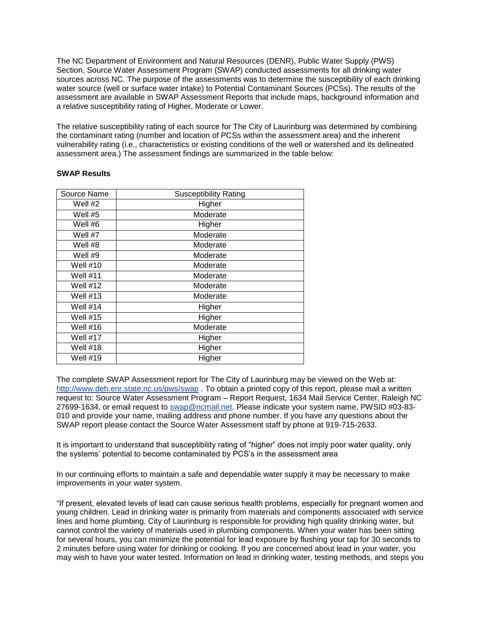The NC Department of Environment and Natural Resources (DENR), Public Water Supply (PWS) Section, Source Water Assessment Program (SWAP) conducted assessments for all drinking water sources across NC. The purpose of the assessments was to determine the susceptibility of each drinking water source (well or surface water intake) to Potential Contaminant Sources (PCSs). The results of the assessment are available in SWAP Assessment Reports that include maps, background information and a relative susceptibility rating of Higher, Moderate or Lower.

The relative susceptibility rating of each source for The City of Laurinburg was determined by combining the contaminant rating (number and location of PCSs within the assessment area) and the inherent vulnerability rating (i.e., characteristics or existing conditions of the well or watershed and its delineated assessment area.) The assessment findings are summarized in the table below:

| Source Name     | <b>Susceptibility Rating</b> |
|-----------------|------------------------------|
| Well #2         | Higher                       |
| Well #5         | Moderate                     |
| Well #6         | Higher                       |
| Well #7         | Moderate                     |
| Well #8         | Moderate                     |
| Well #9         | Moderate                     |
| Well #10        | Moderate                     |
| <b>Well #11</b> | Moderate                     |
| Well #12        | Moderate                     |
| Well #13        | Moderate                     |
| Well $#14$      | Higher                       |
| <b>Well #15</b> | Higher                       |
| Well #16        | Moderate                     |
| Well #17        | Higher                       |
| Well #18        | Higher                       |
| Well #19        | Higher                       |

### **SWAP Results**

The complete SWAP Assessment report for The City of Laurinburg may be viewed on the Web at: <http://www.deh.enr.state.nc.us/pws/swap> . To obtain a printed copy of this report, please mail a written request to: Source Water Assessment Program – Report Request, 1634 Mail Service Center, Raleigh NC 27699-1634, or email request to [swap@ncmail.net.](mailto:swap@ncmail.net) Please indicate your system name, PWSID #03-83- 010 and provide your name, mailing address and phone number. If you have any questions about the SWAP report please contact the Source Water Assessment staff by phone at 919-715-2633.

It is important to understand that susceptibility rating of "higher" does not imply poor water quality, only the systems' potential to become contaminated by PCS's in the assessment area

In our continuing efforts to maintain a safe and dependable water supply it may be necessary to make improvements in your water system.

"If present, elevated levels of lead can cause serious health problems, especially for pregnant women and young children. Lead in drinking water is primarily from materials and components associated with service lines and home plumbing. City of Laurinburg is responsible for providing high quality drinking water, but cannot control the variety of materials used in plumbing components. When your water has been sitting for several hours, you can minimize the potential for lead exposure by flushing your tap for 30 seconds to 2 minutes before using water for drinking or cooking. If you are concerned about lead in your water, you may wish to have your water tested. Information on lead in drinking water, testing methods, and steps you